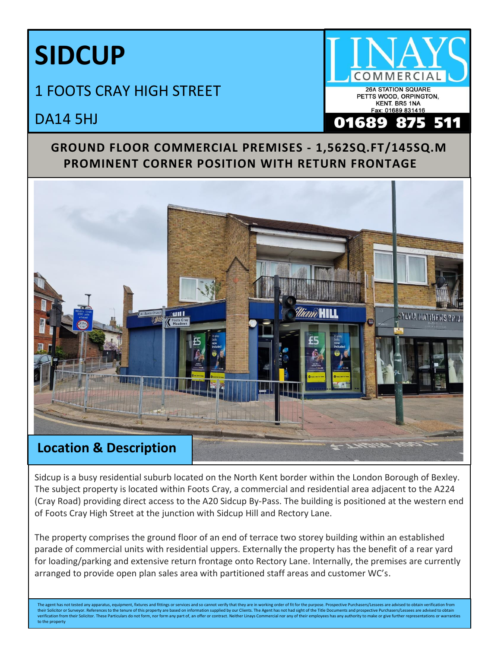## **SIDCUP**

## 1 FOOTS CRAY HIGH STREET



DA14 5HJ

## **GROUND FLOOR COMMERCIAL PREMISES - 1,562SQ.FT/145SQ.M PROMINENT CORNER POSITION WITH RETURN FRONTAGE**



Sidcup is a busy residential suburb located on the North Kent border within the London Borough of Bexley. The subject property is located within Foots Cray, a commercial and residential area adjacent to the A224 (Cray Road) providing direct access to the A20 Sidcup By-Pass. The building is positioned at the western end of Foots Cray High Street at the junction with Sidcup Hill and Rectory Lane.

The property comprises the ground floor of an end of terrace two storey building within an established parade of commercial units with residential uppers. Externally the property has the benefit of a rear yard for loading/parking and extensive return frontage onto Rectory Lane. Internally, the premises are currently arranged to provide open plan sales area with partitioned staff areas and customer WC's.

The agent has not tested any apparatus, equipment, fixtures and fittings or services and so cannot verify that they are in working order of fit for the purpose. Prospective Purchasers/Lessees are advised to obtain verifica their Solicitor or Surveyor. References to the tenure of this property are based on information supplied by our Clients. The Agent has not had sight of the Title Documents and prospective Purchasers/Lessees are advised to to the property